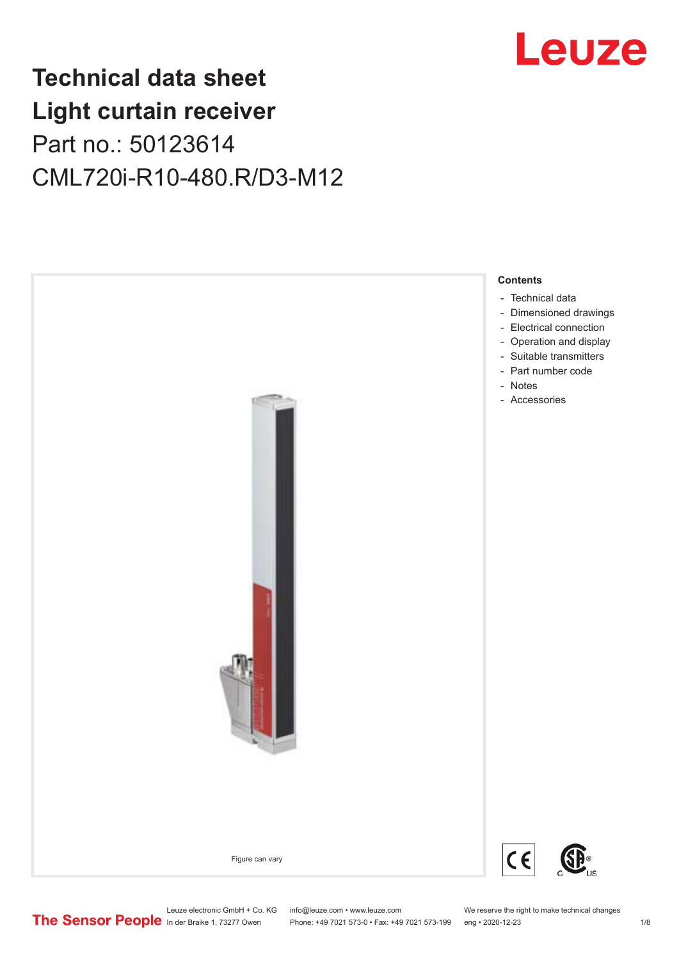## Leuze

## **Technical data sheet Light curtain receiver** Part no.: 50123614 CML720i-R10-480.R/D3-M12



Leuze electronic GmbH + Co. KG info@leuze.com • www.leuze.com We reserve the right to make technical changes<br>
The Sensor People in der Braike 1, 73277 Owen Phone: +49 7021 573-0 • Fax: +49 7021 573-199 eng • 2020-12-23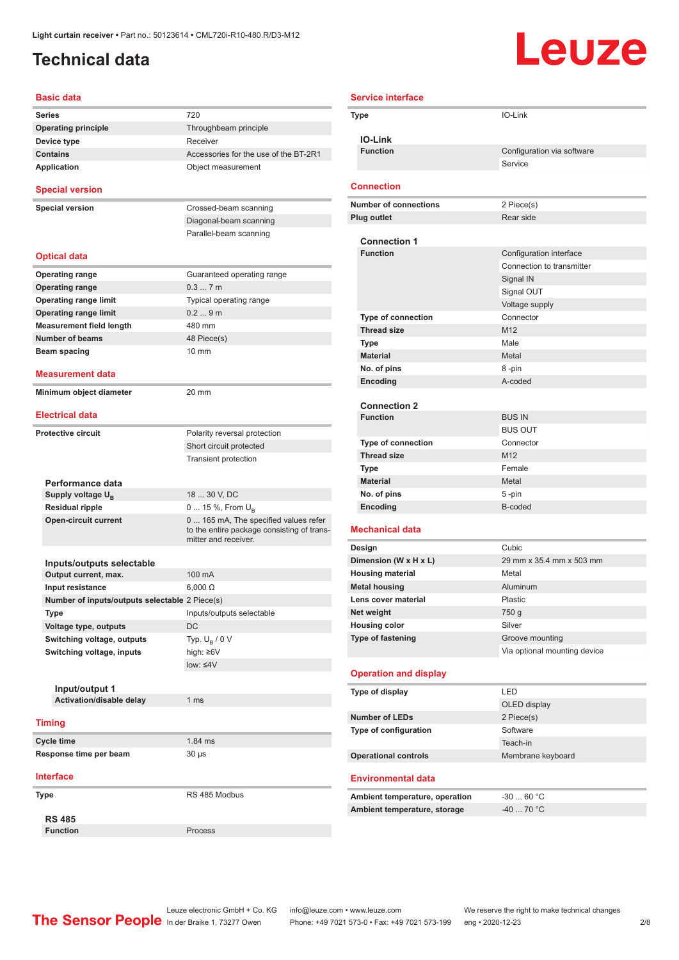#### <span id="page-1-0"></span>**Technical data**

# Leuze

| <b>Basic data</b>                              |                                                                    |
|------------------------------------------------|--------------------------------------------------------------------|
| Series                                         | 720                                                                |
| <b>Operating principle</b>                     | Throughbeam principle                                              |
| Device type                                    | Receiver                                                           |
| <b>Contains</b>                                | Accessories for the use of the BT-2R1                              |
| <b>Application</b>                             | Object measurement                                                 |
| <b>Special version</b>                         |                                                                    |
| <b>Special version</b>                         | Crossed-beam scanning                                              |
|                                                | Diagonal-beam scanning                                             |
|                                                | Parallel-beam scanning                                             |
| <b>Optical data</b>                            |                                                                    |
| <b>Operating range</b>                         | Guaranteed operating range                                         |
| <b>Operating range</b>                         | 0.37m                                                              |
| <b>Operating range limit</b>                   | Typical operating range                                            |
| <b>Operating range limit</b>                   | 0.29m                                                              |
| <b>Measurement field length</b>                | 480 mm                                                             |
| <b>Number of beams</b>                         | 48 Piece(s)                                                        |
| Beam spacing                                   | $10 \text{ mm}$                                                    |
|                                                |                                                                    |
| Measurement data                               |                                                                    |
| Minimum object diameter                        | 20 mm                                                              |
| <b>Electrical data</b>                         |                                                                    |
| <b>Protective circuit</b>                      | Polarity reversal protection                                       |
|                                                | Short circuit protected                                            |
|                                                | <b>Transient protection</b>                                        |
| Performance data                               |                                                                    |
| Supply voltage U <sub>B</sub>                  | 18  30 V, DC                                                       |
| <b>Residual ripple</b>                         | 0  15 %, From U <sub>B</sub>                                       |
| <b>Open-circuit current</b>                    | 0 165 mA, The specified values refer                               |
|                                                | to the entire package consisting of trans-<br>mitter and receiver. |
| Inputs/outputs selectable                      |                                                                    |
| Output current, max.                           | 100 mA                                                             |
| Input resistance                               | $6,000 \Omega$                                                     |
| Number of inputs/outputs selectable 2 Piece(s) |                                                                    |
| Type                                           | Inputs/outputs selectable                                          |
| Voltage type, outputs                          | DC                                                                 |
| Switching voltage, outputs                     | Typ. $U_{\rm B}$ / 0 V                                             |
| Switching voltage, inputs                      | high: ≥6V                                                          |
|                                                | low: $\leq 4V$                                                     |
|                                                |                                                                    |
| Input/output 1                                 |                                                                    |
| Activation/disable delay                       | 1 <sub>ms</sub>                                                    |
| <b>Timing</b>                                  |                                                                    |
| <b>Cycle time</b>                              | 1.84 ms                                                            |
| Response time per beam                         | 30 µs                                                              |
| <b>Interface</b>                               |                                                                    |
| Type                                           | RS 485 Modbus                                                      |
|                                                |                                                                    |
| <b>RS 485</b>                                  |                                                                    |
| <b>Function</b>                                | Process                                                            |

| <b>Service interface</b> |                                        |                              |  |
|--------------------------|----------------------------------------|------------------------------|--|
|                          | IO-Link<br><b>Type</b>                 |                              |  |
|                          | <b>IO-Link</b>                         |                              |  |
|                          | <b>Function</b>                        | Configuration via software   |  |
|                          |                                        | Service                      |  |
|                          |                                        |                              |  |
|                          | <b>Connection</b>                      |                              |  |
|                          | <b>Number of connections</b>           | 2 Piece(s)                   |  |
|                          | <b>Plug outlet</b>                     | Rear side                    |  |
|                          |                                        |                              |  |
|                          | <b>Connection 1</b><br><b>Function</b> | Configuration interface      |  |
|                          |                                        | Connection to transmitter    |  |
|                          |                                        | Signal IN                    |  |
|                          |                                        | Signal OUT                   |  |
|                          |                                        | Voltage supply               |  |
|                          | <b>Type of connection</b>              | Connector                    |  |
|                          | <b>Thread size</b>                     | M12                          |  |
|                          | Type                                   | Male                         |  |
|                          | <b>Material</b>                        | Metal                        |  |
|                          | No. of pins                            | 8-pin                        |  |
|                          | Encoding                               | A-coded                      |  |
|                          |                                        |                              |  |
|                          | <b>Connection 2</b>                    |                              |  |
|                          | <b>Function</b>                        | <b>BUS IN</b>                |  |
|                          |                                        | <b>BUS OUT</b>               |  |
|                          | <b>Type of connection</b>              | Connector                    |  |
|                          | <b>Thread size</b>                     | M12                          |  |
|                          | Type                                   | Female                       |  |
|                          | <b>Material</b>                        | Metal                        |  |
|                          | No. of pins                            | 5-pin                        |  |
|                          | Encoding                               | B-coded                      |  |
|                          | <b>Mechanical data</b>                 |                              |  |
|                          | Design                                 | Cubic                        |  |
|                          | Dimension (W x H x L)                  | 29 mm x 35.4 mm x 503 mm     |  |
|                          | <b>Housing material</b>                | Metal                        |  |
|                          | <b>Metal housing</b>                   | Aluminum                     |  |
|                          | Lens cover material                    | Plastic                      |  |
|                          | Net weight                             | 750 g                        |  |
|                          | <b>Housing color</b>                   | Silver                       |  |
|                          | <b>Type of fastening</b>               | Groove mounting              |  |
|                          |                                        | Via optional mounting device |  |
|                          | <b>Operation and display</b>           |                              |  |
|                          | Type of display                        | LED                          |  |
|                          |                                        | OLED display                 |  |
|                          | <b>Number of LEDs</b>                  | 2 Piece(s)                   |  |
|                          | Type of configuration                  | Software                     |  |
|                          |                                        | Teach-in                     |  |
|                          | <b>Operational controls</b>            | Membrane keyboard            |  |
|                          |                                        |                              |  |
|                          | <b>Environmental data</b>              |                              |  |
|                          | Ambient temperature, operation         | $-3060 °C$                   |  |
|                          | Ambient temperature, storage           | $-40$ 70 °C                  |  |
|                          |                                        |                              |  |

Leuze electronic GmbH + Co. KG info@leuze.com • www.leuze.com We reserve the right to make technical changes In der Braike 1, 73277 Owen Phone: +49 7021 573-0 • Fax: +49 7021 573-199 eng • 2020-12-23 2 /8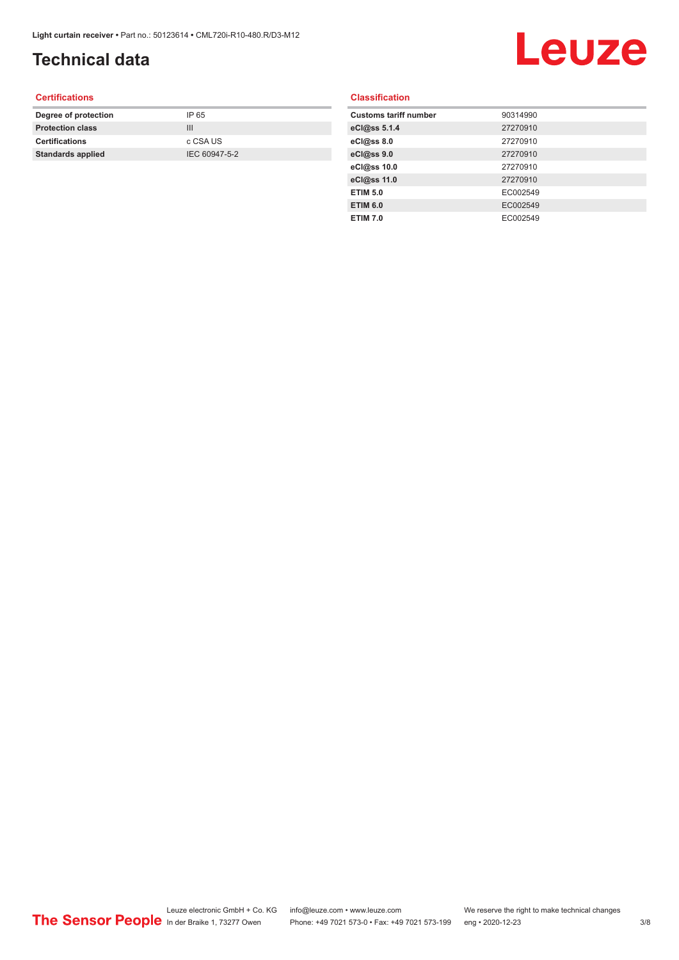### **Technical data**

## Leuze

#### **Certifications**

| Degree of protection     | IP 65         |
|--------------------------|---------------|
| <b>Protection class</b>  | Ш             |
| <b>Certifications</b>    | c CSA US      |
| <b>Standards applied</b> | IEC 60947-5-2 |
|                          |               |

#### **Classification**

| <b>Customs tariff number</b> | 90314990 |
|------------------------------|----------|
| eCl@ss 5.1.4                 | 27270910 |
| eCl@ss 8.0                   | 27270910 |
| eCl@ss 9.0                   | 27270910 |
| eCl@ss 10.0                  | 27270910 |
| eCl@ss 11.0                  | 27270910 |
| <b>ETIM 5.0</b>              | EC002549 |
| <b>ETIM 6.0</b>              | EC002549 |
| <b>ETIM 7.0</b>              | EC002549 |
|                              |          |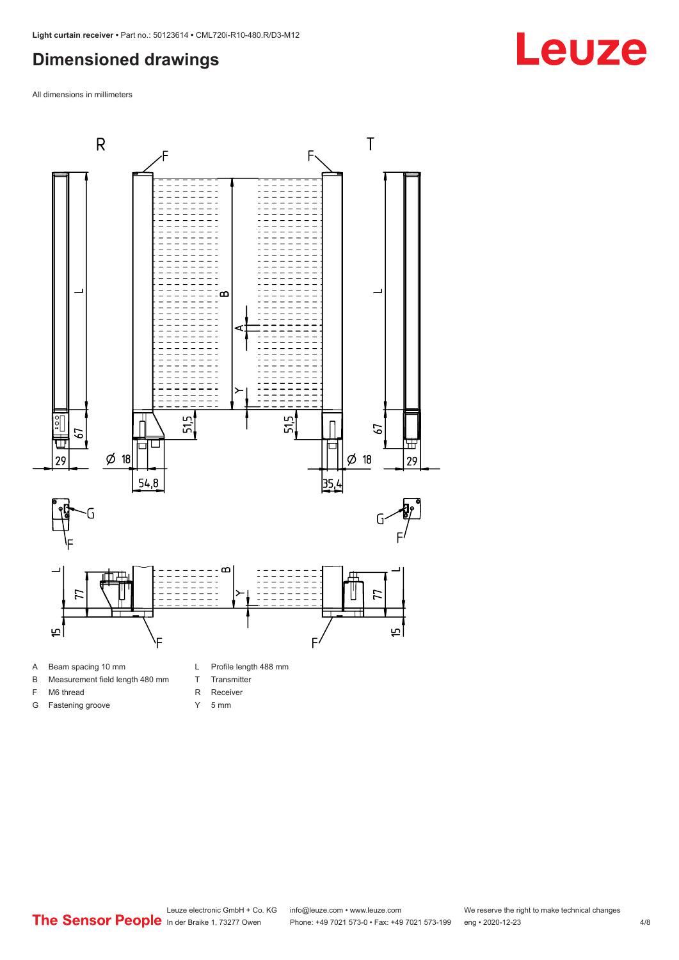#### <span id="page-3-0"></span>**Dimensioned drawings**

All dimensions in millimeters



B Measurement field length 480 mm

- T Transmitter R Receiver
- F M6 thread G Fastening groove
- Y 5 mm

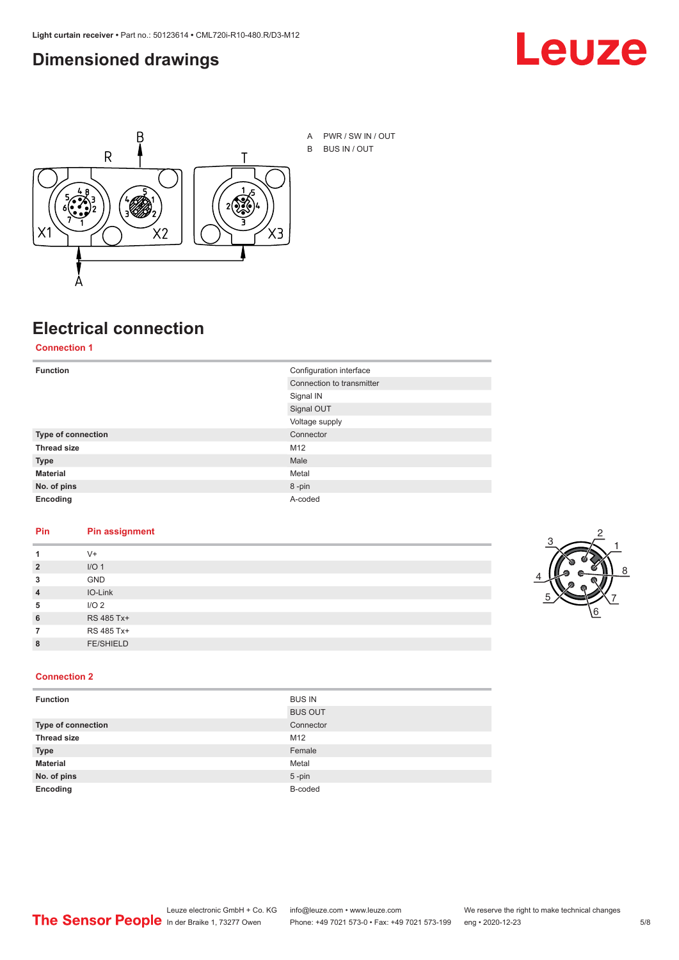#### <span id="page-4-0"></span>**Dimensioned drawings**





A PWR / SW IN / OUT B BUS IN / OUT

## **Electrical connection**

**Connection 1**

| <b>Function</b>    | Configuration interface   |
|--------------------|---------------------------|
|                    | Connection to transmitter |
|                    | Signal IN                 |
|                    | Signal OUT                |
|                    | Voltage supply            |
| Type of connection | Connector                 |
| <b>Thread size</b> | M12                       |
| <b>Type</b>        | Male                      |
| <b>Material</b>    | Metal                     |
| No. of pins        | 8-pin                     |
| Encoding           | A-coded                   |

#### **Pin Pin assignment**

|                | $V +$            |  |  |
|----------------|------------------|--|--|
| $\overline{2}$ | I/O <sub>1</sub> |  |  |
| 3              | <b>GND</b>       |  |  |
| $\overline{4}$ | IO-Link          |  |  |
| 5              | I/O <sub>2</sub> |  |  |
| 6              | RS 485 Tx+       |  |  |
|                | RS 485 Tx+       |  |  |
| 8              | <b>FE/SHIELD</b> |  |  |
|                |                  |  |  |



#### **Connection 2**

| <b>Function</b>    | <b>BUS IN</b>  |
|--------------------|----------------|
|                    | <b>BUS OUT</b> |
| Type of connection | Connector      |
| <b>Thread size</b> | M12            |
| <b>Type</b>        | Female         |
| <b>Material</b>    | Metal          |
| No. of pins        | $5$ -pin       |
| Encoding           | B-coded        |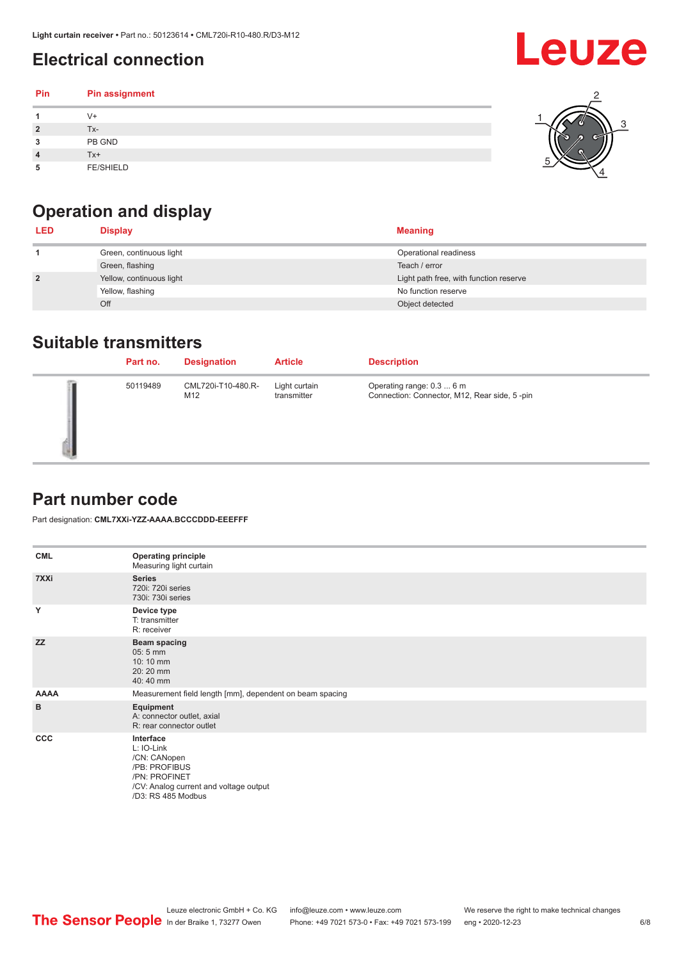### <span id="page-5-0"></span>**Electrical connection**

#### **Pin Pin assignment 1** V+ **2** Tx-**3** PB GND **4** Tx+ **5** FE/SHIELD 3 2 1 5 4

## **Operation and display**

| <b>LED</b>     | <b>Display</b>           | <b>Meaning</b>                         |
|----------------|--------------------------|----------------------------------------|
|                | Green, continuous light  | Operational readiness                  |
|                | Green, flashing          | Teach / error                          |
| $\overline{2}$ | Yellow, continuous light | Light path free, with function reserve |
|                | Yellow, flashing         | No function reserve                    |
|                | Off                      | Object detected                        |

#### **Suitable transmitters**

| Part no. | <b>Designation</b>        | <b>Article</b>               | <b>Description</b>                                                        |
|----------|---------------------------|------------------------------|---------------------------------------------------------------------------|
| 50119489 | CML720i-T10-480.R-<br>M12 | Light curtain<br>transmitter | Operating range: 0.3  6 m<br>Connection: Connector, M12, Rear side, 5-pin |

#### **Part number code**

Part designation: **CML7XXi-YZZ-AAAA.BCCCDDD-EEEFFF**

| <b>CML</b>   | <b>Operating principle</b><br>Measuring light curtain                                                                                     |
|--------------|-------------------------------------------------------------------------------------------------------------------------------------------|
| 7XXi         | <b>Series</b><br>720i: 720i series<br>730i: 730i series                                                                                   |
| Y            | Device type<br>T: transmitter<br>R: receiver                                                                                              |
| <b>ZZ</b>    | <b>Beam spacing</b><br>$05:5$ mm<br>10:10 mm<br>20:20 mm<br>40:40 mm                                                                      |
| <b>AAAA</b>  | Measurement field length [mm], dependent on beam spacing                                                                                  |
| в            | Equipment<br>A: connector outlet, axial<br>R: rear connector outlet                                                                       |
| $_{\rm ccc}$ | Interface<br>L: IO-Link<br>/CN: CANopen<br>/PB: PROFIBUS<br>/PN: PROFINET<br>/CV: Analog current and voltage output<br>/D3: RS 485 Modbus |

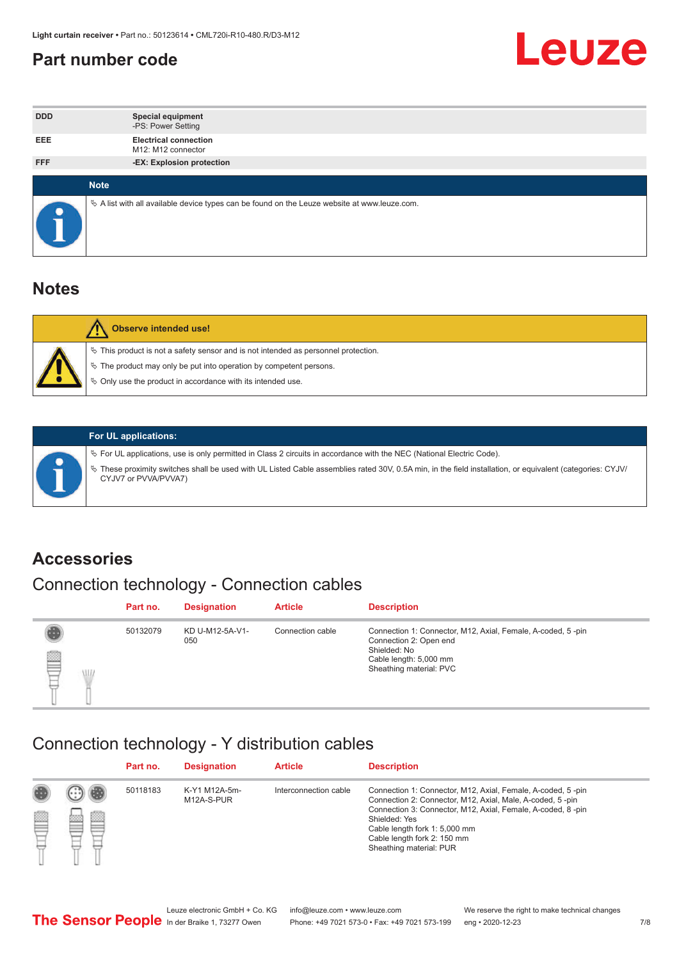#### <span id="page-6-0"></span>**Part number code**



| <b>DDD</b>  | <b>Special equipment</b><br>-PS: Power Setting                                                  |
|-------------|-------------------------------------------------------------------------------------------------|
| <b>EEE</b>  | <b>Electrical connection</b><br>M12: M12 connector                                              |
| <b>FFF</b>  | -EX: Explosion protection                                                                       |
|             |                                                                                                 |
| <b>Note</b> |                                                                                                 |
|             | $\&$ A list with all available device types can be found on the Leuze website at www.leuze.com. |

#### **Notes**

| Observe intended use!                                                                                                                                                                                                            |
|----------------------------------------------------------------------------------------------------------------------------------------------------------------------------------------------------------------------------------|
| $\%$ This product is not a safety sensor and is not intended as personnel protection.<br>$\%$ The product may only be put into operation by competent persons.<br>$\%$ Only use the product in accordance with its intended use. |
|                                                                                                                                                                                                                                  |



#### **For UL applications:**

ª For UL applications, use is only permitted in Class 2 circuits in accordance with the NEC (National Electric Code). ª These proximity switches shall be used with UL Listed Cable assemblies rated 30V, 0.5A min, in the field installation, or equivalent (categories: CYJV/ CYJV7 or PVVA/PVVA7)

#### **Accessories**

### Connection technology - Connection cables

|        | Part no. | <b>Designation</b>     | <b>Article</b>   | <b>Description</b>                                                                                                                                         |
|--------|----------|------------------------|------------------|------------------------------------------------------------------------------------------------------------------------------------------------------------|
| 2<br>W | 50132079 | KD U-M12-5A-V1-<br>050 | Connection cable | Connection 1: Connector, M12, Axial, Female, A-coded, 5-pin<br>Connection 2: Open end<br>Shielded: No<br>Cable length: 5,000 mm<br>Sheathing material: PVC |

#### Connection technology - Y distribution cables

|        |   | Part no. | <b>Designation</b>          | <b>Article</b>        | <b>Description</b>                                                                                                                                                                                                                                                                                  |
|--------|---|----------|-----------------------------|-----------------------|-----------------------------------------------------------------------------------------------------------------------------------------------------------------------------------------------------------------------------------------------------------------------------------------------------|
| 圔<br>⋿ | Ø | 50118183 | K-Y1 M12A-5m-<br>M12A-S-PUR | Interconnection cable | Connection 1: Connector, M12, Axial, Female, A-coded, 5-pin<br>Connection 2: Connector, M12, Axial, Male, A-coded, 5-pin<br>Connection 3: Connector, M12, Axial, Female, A-coded, 8-pin<br>Shielded: Yes<br>Cable length fork 1: 5,000 mm<br>Cable length fork 2: 150 mm<br>Sheathing material: PUR |